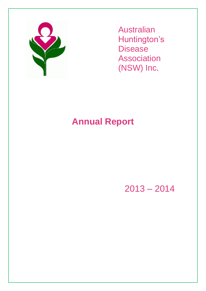

Australian Huntington's Disease Association (NSW) Inc.

# **Annual Report**

# $2013 - 2014$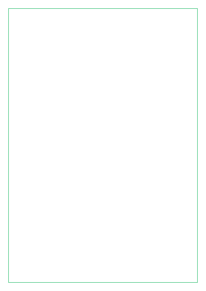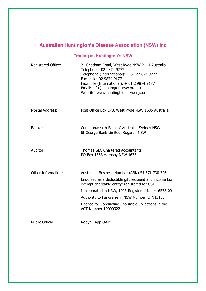# **Australian Huntington's Disease Association (NSW) Inc**

## **Trading as Huntington's NSW**

| Registered Office:        | 21 Chatham Road, West Ryde NSW 2114 Australia<br>Telephone: 02 9874 9777<br>Telephone (International): + 61 2 9874 9777<br>Facsimile: 02 9874 9177<br>Facsimile (International): + 61 2 9874 9177<br>Email: info@huntingtonsnsw.org.au<br>Website: www.huntingtonsnsw.org.au |  |  |  |  |
|---------------------------|------------------------------------------------------------------------------------------------------------------------------------------------------------------------------------------------------------------------------------------------------------------------------|--|--|--|--|
| Postal Address:           | Post Office Box 178, West Ryde NSW 1685 Australia                                                                                                                                                                                                                            |  |  |  |  |
| Bankers:                  | Commonwealth Bank of Australia, Sydney NSW<br>St George Bank Limited, Kogarah NSW                                                                                                                                                                                            |  |  |  |  |
| Auditor:                  | <b>Thomas GLC Chartered Accountants</b><br>PO Box 1563 Hornsby NSW 1635                                                                                                                                                                                                      |  |  |  |  |
| <b>Other Information:</b> | Australian Business Number (ABN) 54 571 730 306                                                                                                                                                                                                                              |  |  |  |  |
|                           | Endorsed as a deductible gift recipient and income tax<br>exempt charitable entity; registered for GST                                                                                                                                                                       |  |  |  |  |
|                           | Incorporated in NSW, 1993 Registered No. Y16575-09                                                                                                                                                                                                                           |  |  |  |  |
|                           | Authority to Fundraise in NSW Number CFN13153                                                                                                                                                                                                                                |  |  |  |  |
|                           | Licence for Conducting Charitable Collections in the<br><b>ACT Number 19000322</b>                                                                                                                                                                                           |  |  |  |  |
| <b>Public Officer:</b>    | Robyn Kapp OAM                                                                                                                                                                                                                                                               |  |  |  |  |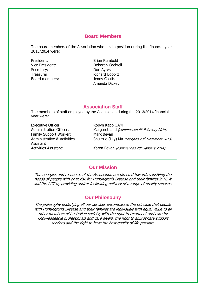## **Board Members**

The board members of the Association who held a position during the financial year 2013/2014 were:

Secretary: Don Ayres Treasurer: Richard Bobbitt Board members: Jenny Coutts

President: Brian Rumbold Vice President: Deborah Cockrell Amanda Dickey

## **Association Staff**

The members of staff employed by the Association during the 2013/2014 financial year were:

Executive Officer: Robyn Kapp OAM Family Support Worker: Mark Bevan Assistant

Administration Officer: Margaret Lind (commenced 4<sup>th</sup> February 2014) Administrative & Activities Shu Yue (Lily) Ma (resigned 23<sup>rd</sup> December 2013)

Activities Assistant: Karen Bevan (commenced 28<sup>th</sup> January 2014)

## **Our Mission**

The energies and resources of the Association are directed towards satisfying the needs of people with or at risk for Huntington's Disease and their families in NSW and the ACT by providing and/or facilitating delivery of a range of quality services.

## **Our Philosophy**

The philosophy underlying all our services encompasses the principle that people with Huntington's Disease and their families are individuals with equal value to all other members of Australian society, with the right to treatment and care by knowledgeable professionals and care givers, the right to appropriate support services and the right to have the best quality of life possible.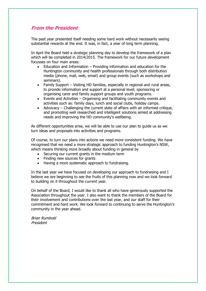## **From the President**

The past year presented itself needing some hard work without necessarily seeing substantial rewards at the end. It was, in fact, a year of long term planning.

In April the Board held a strategic planning day to develop the framework of a plan which will be completed in 2014/2015. The framework for our future development focusses on four main areas:

- Education and Information Providing information and education for the Huntington community and health professionals through both distribution media (phone, mail, web, email) and group events (such as workshops and seminars).
- Family Support Visiting HD families, especially in regional and rural areas, to provide information and support at a personal level; sponsoring or organising carer and family support groups and youth programs.
- Events and Activities Organising and facilitating community events and activities such as: family days, lunch and social clubs, holiday camps.
- Advocacy Challenging the current state of affairs with an informed critique, and promoting well researched and intelligent solutions aimed at addressing needs and improving the HD community's wellbeing.

As different opportunities arise, we will be able to use our plan to guide us as we turn ideas and proposals into activities and programs.

Of course, to turn our plans into actions we need more consistent funding. We have recognised that we need a more strategic approach to funding Huntington's NSW, which means thinking more broadly about funding in general by

- Securing our current grants in the medium term
- Finding new sources for grants
- Having a more systematic approach to fundraising.

In the last year we have focused on developing our approach to fundraising and I believe we are beginning to see the fruits of this planning now and we look forward to building on it throughout the current year.

On behalf of the Board, I would like to thank all who have generously supported the Association throughout the year. I also want to thank the members of the Board for their involvement and contributions over the last year, and our staff for their commitment and hard work. We look forward to continuing to serve the Huntington's community in the year ahead.

Brian Rumbold President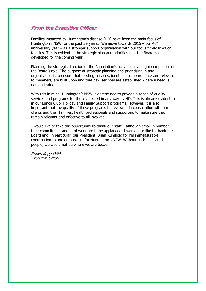## **From the Executive Officer**

Families impacted by Huntington's disease (HD) have been the main focus of Huntington's NSW for the past 39 years. We move towards  $2015 - \text{our } 40^{\text{th}}$ anniversary year – as a stronger support organisation with our focus firmly fixed on families. This is evident in the strategic plan and priorities that the Board has developed for the coming year.

Planning the strategic direction of the Association's activities is a major component of the Board's role. The purpose of strategic planning and prioritising in any organisation is to ensure that existing services, identified as appropriate and relevant to members, are built upon and that new services are established where a need is demonstrated.

With this in mind, Huntington's NSW is determined to provide a range of quality services and programs for those affected in any way by HD. This is already evident in in our Lunch Club, Holiday and Family Support programs. However, it is also important that the quality of these programs be reviewed in consultation with our clients and their families, health professionals and supporters to make sure they remain relevant and effective to all involved.

I would like to take this opportunity to thank our staff – although small in number – their commitment and hard work are to be applauded. I would also like to thank the Board and, in particular, our President, Brian Rumbold for his immeasurable contribution to and enthusiasm for Huntington's NSW. Without such dedicated people, we would not be where we are today.

Robyn Kapp OAM Executive Officer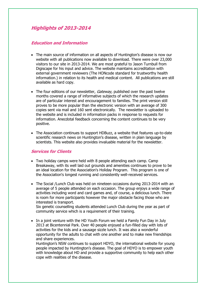## **Highlights of 2013-2014**

### **Education and Information**

- The main source of information on all aspects of Huntington's disease is now our website with all publications now available to download. There were over 23,000 visitors to our site in 2013-2014. We are most grateful to Jason Turnbull from Digiscape for his input and advice. The website maintains accreditation with external government reviewers (The HONcode standard for trustworthy health information.) in relation to its health and medical content. All publications are still available as hard copy.
- The four editions of our newsletter, Gateway, published over the past twelve months covered a range of informative subjects of which the research updates are of particular interest and encouragement to families. The print version still proves to be more popular than the electronic version with an average of 300 copies sent via mail and 160 sent electronically. The newsletter is uploaded to the website and is included in information packs in response to requests for information. Anecdotal feedback concerning the content continues to be very positive.
- The Association continues to support HDBuzz, a website that features up-to-date scientific research news on Huntington's disease, written in plain language by scientists. This website also provides invaluable material for the newsletter.

#### **Services for Clients**

- Two holiday camps were held with 8 people attending each camp. Camp Breakaway, with its well laid out grounds and amenities continues to prove to be an ideal location for the Association's Holiday Program. This program is one of the Association's longest running and consistently well-received services.
- The Social /Lunch Club was held on nineteen occasions during 2013-2014 with an average of 5 people attended on each occasion. The group enjoys a wide range of activities including word and card games and, of course, a delicious lunch. There is room for more participants however the major obstacle facing those who are interested is transport. Six genetic counselling students attended Lunch Club during the year as part of

community service which is a requirement of their training.

• In a joint venture with the HD Youth Forum we held a Family Fun Day in July 2013 at Bicentennial Park. Over 40 people enjoyed a fun-filled day with lots of activities for the kids and a sausage sizzle lunch. It was also a wonderful opportunity for the adults to chat with one another and to make new friendships and share experiences.

Huntington's NSW continues to support HDYO, the international website for young people impacted by Huntington's disease. The goal of HDYO is to empower youth with knowledge about HD and provide a supportive community to help each other cope with realities of the disease.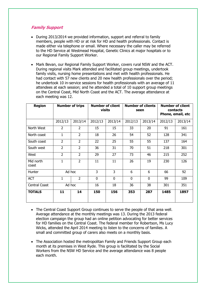## **Family Support**

- During 2013/2014 we provided information, support and referral to family members, people with HD or at risk for HD and health professionals. Contact is made either via telephone or email. Where necessary the caller may be referred to the HD Service at Westmead Hospital, Genetic Clinics at major hospitals or to our Regional Family Support Worker.
- Mark Bevan, our Regional Family Support Worker, covers rural NSW and the ACT. During regional visits Mark attended and facilitated group meetings, undertook family visits, nursing home presentations and met with health professionals. He had contact with 57 new clients and 20 new health professionals over the period; he undertook 10 in-service sessions for health professionals with an average of 11 attendees at each session; and he attended a total of 10 support group meetings on the Central Coast, Mid North Coast and the ACT. The average attendance at each meeting was 12.

| <b>Region</b>      | <b>Number of trips</b> |                | <b>Number of client</b><br>visits |             | <b>Number of clients</b><br>seen |         | <b>Number of client</b><br>contacts<br>Phone, email, etc |         |
|--------------------|------------------------|----------------|-----------------------------------|-------------|----------------------------------|---------|----------------------------------------------------------|---------|
|                    | 2012/13                | 2013/14        | 2012/13                           | 2013/14     | 2012/13                          | 2013/14 | 2012/13                                                  | 2013/14 |
| North West         | $\overline{2}$         | $\overline{2}$ | 15                                | 15          | 33                               | 20      | 91                                                       | 161     |
| North coast        | $\mathbf{1}$           | $\overline{2}$ | 18                                | 26          | 54                               | 52      | 128                                                      | 341     |
| South coast        | $\overline{2}$         | $\overline{2}$ | 22                                | 25          | 55                               | 55      | 137                                                      | 164     |
| South west         | $\overline{2}$         | $\overline{2}$ | 36                                | 31          | 70                               | 51      | 218                                                      | 301     |
| West               | $\overline{2}$         | $\overline{2}$ | 29                                | 27          | 73                               | 46      | 215                                                      | 252     |
| Mid north<br>coast | $\mathbf{1}$           | $\overline{2}$ | 11                                | 11          | 26                               | 19      | 230                                                      | 126     |
| Hunter             | Ad hoc                 |                | 3                                 | 3           | 6                                | 6       | 66                                                       | 92      |
| <b>ACT</b>         | 1                      | $\overline{2}$ | $\mathbf 0$                       | $\mathbf 0$ | $\mathbf 0$                      | 0       | 99                                                       | 109     |
| Central Coast      | Ad hoc                 |                | 16                                | 18          | 36                               | 38      | 301                                                      | 351     |
| <b>TOTALS</b>      | 11                     | 14             | 150                               | 156         | 353                              | 287     | 1485                                                     | 1897    |

- The Central Coast Support Group continues to serve the people of that area well. Average attendance at the monthly meetings was 13. During the 2013 federal election campaign the group had an online petition advocating for better services for HD families on the Central Coast. The federal member for Robertson, Ms Lucy Wicks, attended the April 2014 meeting to listen to the concerns of families. A small and committed group of carers also meets on a monthly basis.
- The Association hosted the metropolitan Family and Friends Support Group each month at its premises in West Ryde. This group is facilitated by the Social Workers from the NSW HD Service and the average attendance was 8 people each month.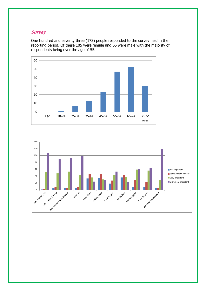## **Survey**

One hundred and seventy three (173) people responded to the survey held in the reporting period. Of these 105 were female and 66 were male with the majority of respondents being over the age of 55.



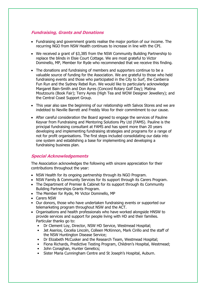## **Fundraising, Grants and Donations**

- Fundraising and government grants realise the major portion of our income. The recurring NGO from NSW Health continues to increase in line with the CPI.
- We received a grant of \$3,385 from the NSW Community Building Partnership to replace the blinds in Elsie Court Cottage. We are most grateful to Victor Dominello, MP, Member for Ryde who recommended that we receive this finding.
- The donations and fundraising of members and supporters continue to be a valuable source of funding for the Association. We are grateful to those who held fundraising events and those who participated in the City to Surf, the Canberra Fun Run and the Sydney Rebel Run. We would like to particularly acknowledge Margaret Bain-Smith and Don Ayres (Concord Rotary Golf Day); Matina Moutzouris (Book Fair); Terry Ayres (High Tea and WOW Designer Jewellery); and the Central Coast Support Group.
- This year also saw the beginning of our relationship with Salvos Stores and we are indebted to Neville Barrett and Freddy Woo for their commitment to our cause.
- After careful consideration the Board agreed to engage the services of Pauline Keyvar from Fundraising and Mentoring Solutions Pty Ltd (FAMS). Pauline is the principal fundraising consultant at FAMS and has spent more than 20 years developing and implementing fundraising strategies and programs for a range of not for profit organisations. The first steps included consolidating our data into one system and establishing a base for implementing and developing a fundraising business plan.

#### **Special Acknowledgements**

The Association acknowledges the following with sincere appreciation for their contributions throughout the year:

- NSW Health for its ongoing partnership through its NGO Program.
- NSW Family & Community Services for its support through its Carers Program.
- The Department of Premier & Cabinet for its support through its Community Building Partnerships Grants Program.
- The Member for Ryde, Mr Victor Dominello, MP
- Carers NSW
- Our donors, those who have undertaken fundraising events or supported our telemarketing program throughout NSW and the ACT.
- Organisations and health professionals who have worked alongside HNSW to provide services and support for people living with HD and their families. Particular thanks go to:
	- Dr Clement Loy, Director, NSW HD Service, Westmead Hospital;
	- Jet Aserios, Cecelia Lincoln, Colleen McKinnon, Mark Cirillo and the staff of the NSW Huntington Disease Service;
	- Dr Elizabeth McCusker and the Research Team, Westmead Hospital;
	- Fiona Richards, Predictive Testing Program, Children's Hospital, Westmead;
	- John Conaghan, Hunter Genetics;
	- Sister Maria Cunningham Centre and St Joseph's Hospital, Auburn.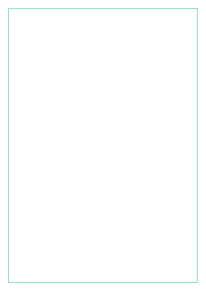